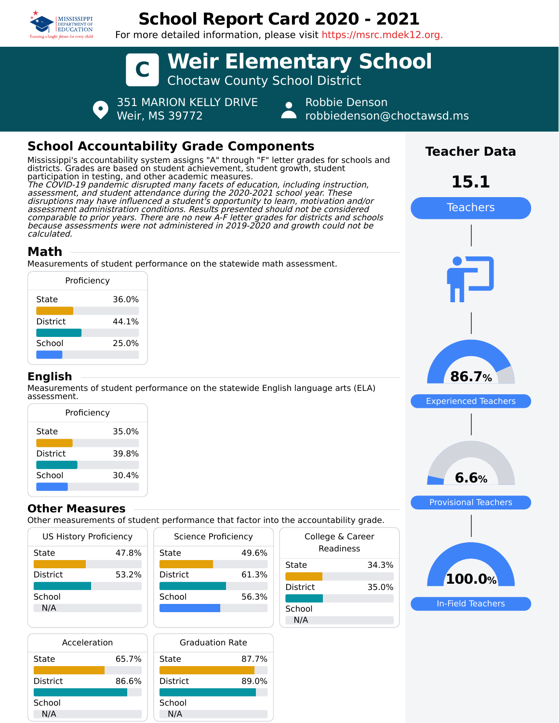

# **School Report Card 2020 - 2021**

For more detailed information, please visit https://msrc.mdek12.org.



# **School Accountability Grade Components**

Mississippi's accountability system assigns "A" through "F" letter grades for schools and districts. Grades are based on student achievement, student growth, student participation in testing, and other academic measures. The COVID-19 pandemic disrupted many facets of education, including instruction, assessment, and student attendance during the 2020-2021 school year. These disruptions may have influenced a student's opportunity to learn, motivation and/or assessment administration conditions. Results presented should not be considered comparable to prior years. There are no new A-F letter grades for districts and schools because assessments were not administered in 2019-2020 and growth could not be calculated.

## **Math**

Measurements of student performance on the statewide math assessment.

|                 | Proficiency |
|-----------------|-------------|
| State           | 36.0%       |
| <b>District</b> | 44.1%       |
| School          | 25.0%       |
|                 |             |

#### **English**

Measurements of student performance on the statewide English language arts (ELA) assessment.

| Proficiency     |       |  |
|-----------------|-------|--|
| State           | 35.0% |  |
| <b>District</b> | 39.8% |  |
| School          | 30.4% |  |

#### **Other Measures**

Other measurements of student performance that factor into the accountability grade.

49.6%

61.3%

56.3%

| <b>US History Proficiency</b> |       | Science Proficiency |     |
|-------------------------------|-------|---------------------|-----|
| State                         | 47.8% | State               | 49. |
| <b>District</b>               | 53.2% | <b>District</b>     | 61. |
| School<br>N/A                 |       | School              | 56. |

| Acceleration    |       |     |
|-----------------|-------|-----|
| State           | 65.7% | Sta |
| <b>District</b> | 86.6% | i<  |
| School<br>N/A   |       | Scl |



| uic accountability grauc. |                               |  |
|---------------------------|-------------------------------|--|
|                           | College & Career<br>Readiness |  |
| State                     | 34.3%                         |  |
| District                  | 35.0%                         |  |
| School<br>N/A             |                               |  |



In-Field Teachers

**Teacher Data**

**15.1**

Teachers